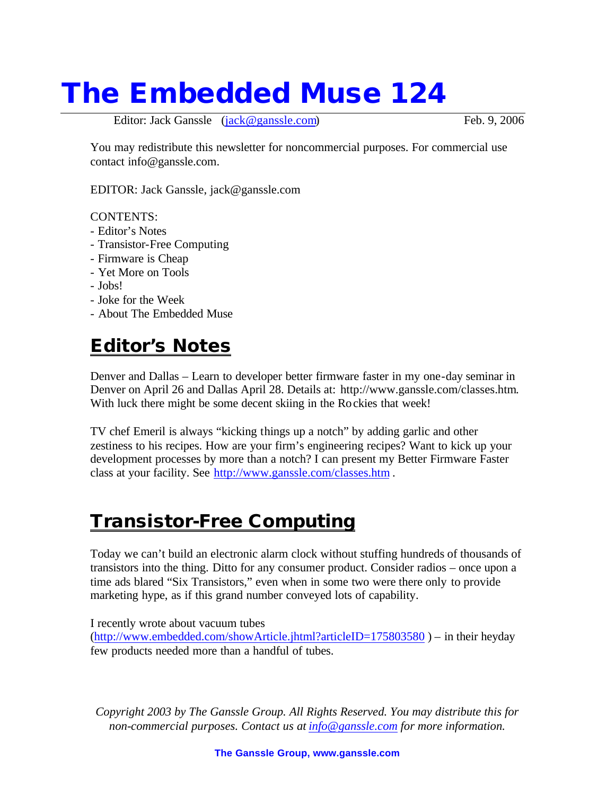# **The Embedded Muse 124**

Editor: Jack Ganssle (jack@ganssle.com) Feb. 9, 2006

You may redistribute this newsletter for noncommercial purposes. For commercial use contact info@ganssle.com.

EDITOR: Jack Ganssle, jack@ganssle.com

#### CONTENTS:

- Editor's Notes
- Transistor-Free Computing
- Firmware is Cheap
- Yet More on Tools
- Jobs!
- Joke for the Week
- About The Embedded Muse

## **Editor's Notes**

Denver and Dallas – Learn to developer better firmware faster in my one-day seminar in Denver on April 26 and Dallas April 28. Details at: http://www.ganssle.com/classes.htm. With luck there might be some decent skiing in the Rockies that week!

TV chef Emeril is always "kicking things up a notch" by adding garlic and other zestiness to his recipes. How are your firm's engineering recipes? Want to kick up your development processes by more than a notch? I can present my Better Firmware Faster class at your facility. See http://www.ganssle.com/classes.htm .

#### **Transistor-Free Computing**

Today we can't build an electronic alarm clock without stuffing hundreds of thousands of transistors into the thing. Ditto for any consumer product. Consider radios – once upon a time ads blared "Six Transistors," even when in some two were there only to provide marketing hype, as if this grand number conveyed lots of capability.

I recently wrote about vacuum tubes

(http://www.embedded.com/showArticle.jhtml?articleID=175803580 ) – in their heyday few products needed more than a handful of tubes.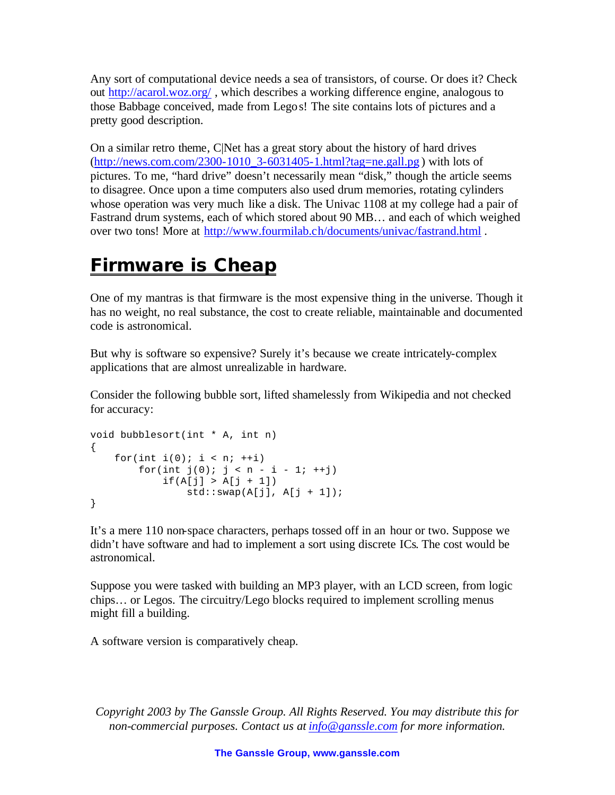Any sort of computational device needs a sea of transistors, of course. Or does it? Check out http://acarol.woz.org/ , which describes a working difference engine, analogous to those Babbage conceived, made from Legos! The site contains lots of pictures and a pretty good description.

On a similar retro theme, C|Net has a great story about the history of hard drives (http://news.com.com/2300-1010\_3-6031405-1.html?tag=ne.gall.pg ) with lots of pictures. To me, "hard drive" doesn't necessarily mean "disk," though the article seems to disagree. Once upon a time computers also used drum memories, rotating cylinders whose operation was very much like a disk. The Univac 1108 at my college had a pair of Fastrand drum systems, each of which stored about 90 MB… and each of which weighed over two tons! More at http://www.fourmilab.ch/documents/univac/fastrand.html .

# **Firmware is Cheap**

One of my mantras is that firmware is the most expensive thing in the universe. Though it has no weight, no real substance, the cost to create reliable, maintainable and documented code is astronomical.

But why is software so expensive? Surely it's because we create intricately-complex applications that are almost unrealizable in hardware.

Consider the following bubble sort, lifted shamelessly from Wikipedia and not checked for accuracy:

```
void bubblesort(int * A, int n)
{
   for(int i(0); i < ni; +i)
       for(int j(0); j < n - i - 1; ++j)
           if(A[j] > A[j + 1])std::swap(A[j], A[j + 1]);}
```
It's a mere 110 non-space characters, perhaps tossed off in an hour or two. Suppose we didn't have software and had to implement a sort using discrete ICs. The cost would be astronomical.

Suppose you were tasked with building an MP3 player, with an LCD screen, from logic chips… or Legos. The circuitry/Lego blocks required to implement scrolling menus might fill a building.

A software version is comparatively cheap.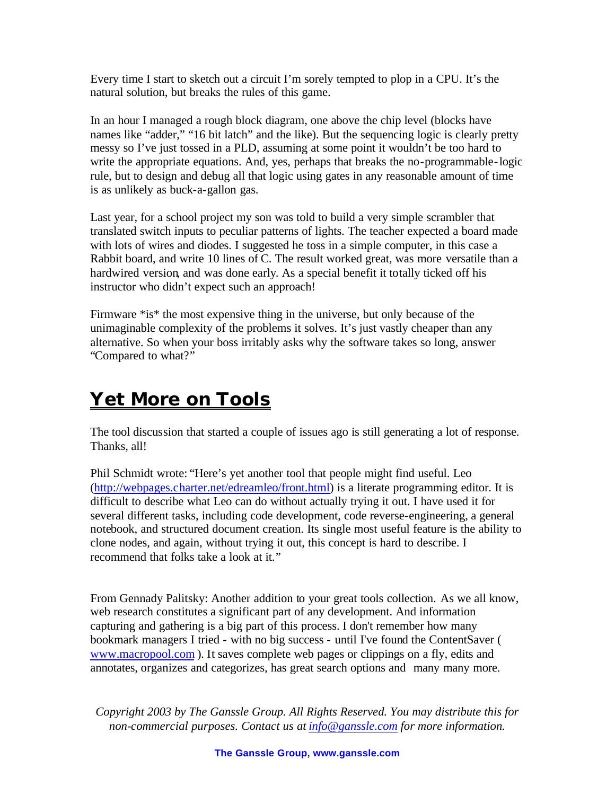Every time I start to sketch out a circuit I'm sorely tempted to plop in a CPU. It's the natural solution, but breaks the rules of this game.

In an hour I managed a rough block diagram, one above the chip level (blocks have names like "adder," "16 bit latch" and the like). But the sequencing logic is clearly pretty messy so I've just tossed in a PLD, assuming at some point it wouldn't be too hard to write the appropriate equations. And, yes, perhaps that breaks the no-programmable-logic rule, but to design and debug all that logic using gates in any reasonable amount of time is as unlikely as buck-a-gallon gas.

Last year, for a school project my son was told to build a very simple scrambler that translated switch inputs to peculiar patterns of lights. The teacher expected a board made with lots of wires and diodes. I suggested he toss in a simple computer, in this case a Rabbit board, and write 10 lines of C. The result worked great, was more versatile than a hardwired version, and was done early. As a special benefit it totally ticked off his instructor who didn't expect such an approach!

Firmware \*is\* the most expensive thing in the universe, but only because of the unimaginable complexity of the problems it solves. It's just vastly cheaper than any alternative. So when your boss irritably asks why the software takes so long, answer "Compared to what?"

# **Yet More on Tools**

The tool discussion that started a couple of issues ago is still generating a lot of response. Thanks, all!

Phil Schmidt wrote: "Here's yet another tool that people might find useful. Leo (http://webpages.charter.net/edreamleo/front.html) is a literate programming editor. It is difficult to describe what Leo can do without actually trying it out. I have used it for several different tasks, including code development, code reverse-engineering, a general notebook, and structured document creation. Its single most useful feature is the ability to clone nodes, and again, without trying it out, this concept is hard to describe. I recommend that folks take a look at it."

From Gennady Palitsky: Another addition to your great tools collection. As we all know, web research constitutes a significant part of any development. And information capturing and gathering is a big part of this process. I don't remember how many bookmark managers I tried - with no big success - until I've found the ContentSaver ( www.macropool.com ). It saves complete web pages or clippings on a fly, edits and annotates, organizes and categorizes, has great search options and many many more.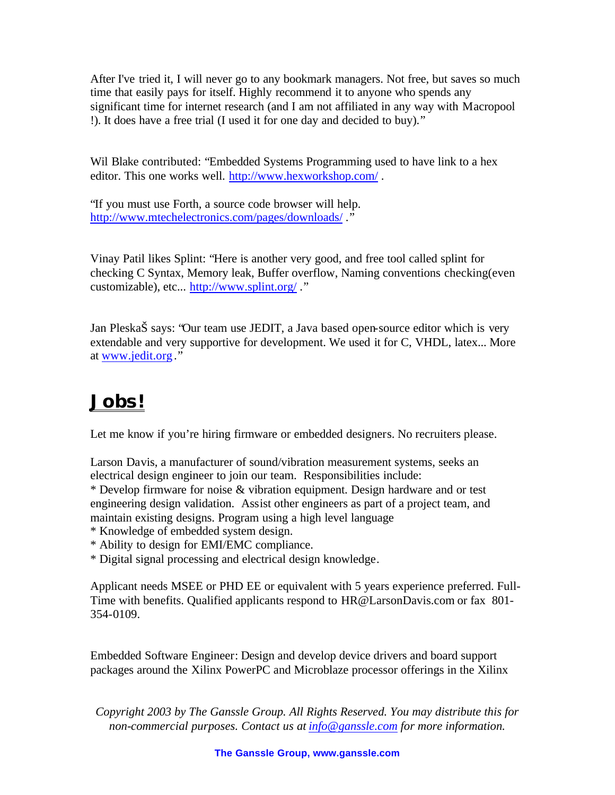After I've tried it, I will never go to any bookmark managers. Not free, but saves so much time that easily pays for itself. Highly recommend it to anyone who spends any significant time for internet research (and I am not affiliated in any way with Macropool !). It does have a free trial (I used it for one day and decided to buy)."

Wil Blake contributed: "Embedded Systems Programming used to have link to a hex editor. This one works well. http://www.hexworkshop.com/ .

"If you must use Forth, a source code browser will help. http://www.mtechelectronics.com/pages/downloads/."

Vinay Patil likes Splint: "Here is another very good, and free tool called splint for checking C Syntax, Memory leak, Buffer overflow, Naming conventions checking(even customizable), etc... http://www.splint.org/ ."

Jan PleskaŠ says: "Our team use JEDIT, a Java based open-source editor which is very extendable and very supportive for development. We used it for C, VHDL, latex... More at www.jedit.org ."

# **Jobs!**

Let me know if you're hiring firmware or embedded designers. No recruiters please.

Larson Davis, a manufacturer of sound/vibration measurement systems, seeks an electrical design engineer to join our team. Responsibilities include:

\* Develop firmware for noise & vibration equipment. Design hardware and or test engineering design validation. Assist other engineers as part of a project team, and maintain existing designs. Program using a high level language

- \* Knowledge of embedded system design.
- \* Ability to design for EMI/EMC compliance.
- \* Digital signal processing and electrical design knowledge.

Applicant needs MSEE or PHD EE or equivalent with 5 years experience preferred. Full-Time with benefits. Qualified applicants respond to HR@LarsonDavis.com or fax 801- 354-0109.

Embedded Software Engineer: Design and develop device drivers and board support packages around the Xilinx PowerPC and Microblaze processor offerings in the Xilinx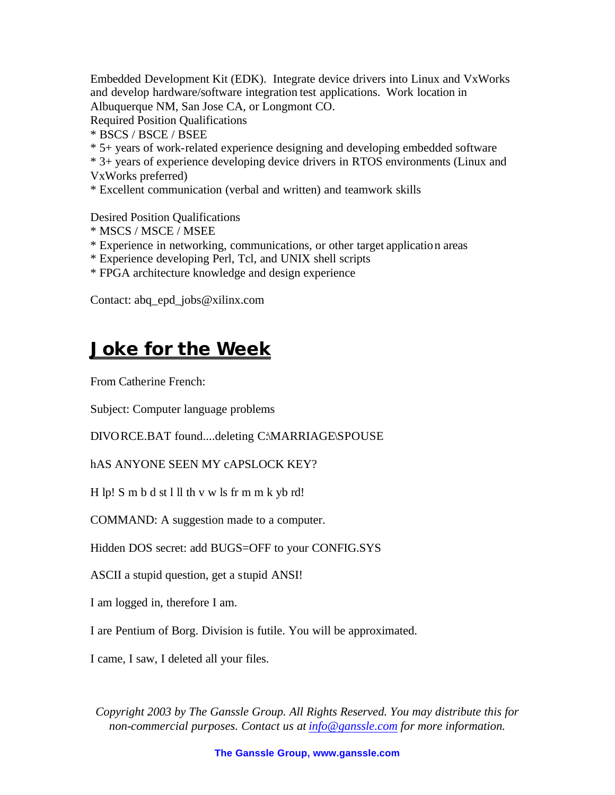Embedded Development Kit (EDK). Integrate device drivers into Linux and VxWorks and develop hardware/software integration test applications. Work location in Albuquerque NM, San Jose CA, or Longmont CO.

Required Position Qualifications

- \* BSCS / BSCE / BSEE
- \* 5+ years of work-related experience designing and developing embedded software
- \* 3+ years of experience developing device drivers in RTOS environments (Linux and
- VxWorks preferred)

\* Excellent communication (verbal and written) and teamwork skills

Desired Position Qualifications

- \* MSCS / MSCE / MSEE
- \* Experience in networking, communications, or other target application areas
- \* Experience developing Perl, Tcl, and UNIX shell scripts
- \* FPGA architecture knowledge and design experience

Contact: abq\_epd\_jobs@xilinx.com

#### **Joke for the Week**

From Catherine French:

Subject: Computer language problems

DIVORCE.BAT found....deleting C:\MARRIAGE\SPOUSE

hAS ANYONE SEEN MY cAPSLOCK KEY?

H lp! S m b d st l ll th v w ls fr m m k yb rd!

COMMAND: A suggestion made to a computer.

Hidden DOS secret: add BUGS=OFF to your CONFIG.SYS

ASCII a stupid question, get a stupid ANSI!

I am logged in, therefore I am.

I are Pentium of Borg. Division is futile. You will be approximated.

I came, I saw, I deleted all your files.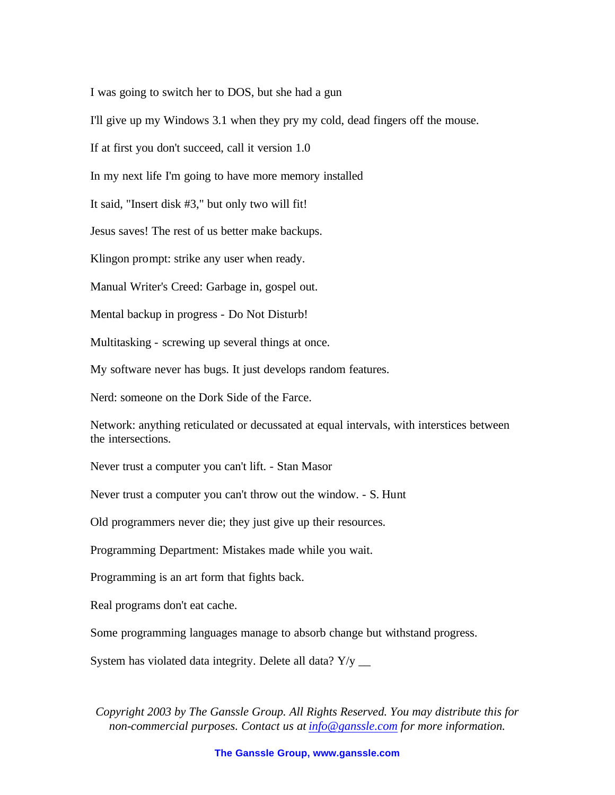I was going to switch her to DOS, but she had a gun

I'll give up my Windows 3.1 when they pry my cold, dead fingers off the mouse.

If at first you don't succeed, call it version 1.0

In my next life I'm going to have more memory installed

It said, "Insert disk #3," but only two will fit!

Jesus saves! The rest of us better make backups.

Klingon prompt: strike any user when ready.

Manual Writer's Creed: Garbage in, gospel out.

Mental backup in progress - Do Not Disturb!

Multitasking - screwing up several things at once.

My software never has bugs. It just develops random features.

Nerd: someone on the Dork Side of the Farce.

Network: anything reticulated or decussated at equal intervals, with interstices between the intersections.

Never trust a computer you can't lift. - Stan Masor

Never trust a computer you can't throw out the window. - S. Hunt

Old programmers never die; they just give up their resources.

Programming Department: Mistakes made while you wait.

Programming is an art form that fights back.

Real programs don't eat cache.

Some programming languages manage to absorb change but withstand progress.

System has violated data integrity. Delete all data?  $Y/y$  \_\_